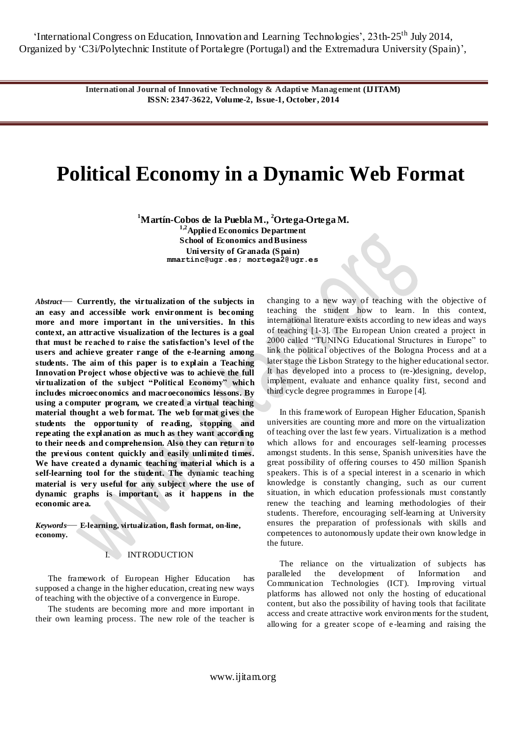'International Congress on Education, Innovation and Learning Technologies', 23th-25<sup>th</sup> July 2014, Organized by ‗C3i/Polytechnic Institute of Portalegre (Portugal) and the Extremadura University (Spain)',

> **International Journal of Innovative Technology & Adaptive Management (IJITAM) ISSN: 2347-3622, Volume-2, Issue-1, October, 2014**

# **Political Economy in a Dynamic Web Format**

**<sup>1</sup>Martín-Cobos de la Puebla M., <sup>2</sup>Ortega-Ortega M.**

**1,2Applied Economics Department School of Economics and Business University of Granada (S pain) [mmartinc@ugr.es;](mailto:mmartinc@ugr.es) [mortega2@ugr.es](mailto:mortega2@ugr.es)**

*Abstract*— **Currently, the virtualization of the subjects in an easy and accessible work environment is becoming more and more important in the universities. In this context, an attractive visualization of the lectures is a goal that must be reached to raise the satisfaction's level of the users and achieve greater range of the e-learning among students. The aim of this paper is to explain a Teaching Innovation Project whose objective was to achieve the full virtualization of the subject "Political Economy" which includes microeconomics and macroeconomics lessons. By using a computer program, we created a virtual teaching material thought a web format. The web format gives the students the opportunity of reading, stopping and repeating the explanation as much as they want according to their needs and comprehension. Also they can return to the previous content quickly and easily unlimited times. We have created a dynamic teaching material which is a self-learning tool for the student. The dynamic teaching material is very useful for any subject where the use of dynamic graphs is important, as it happens in the economic area.** 

*Keywords*— **E-learning, virtualization, flash format, on-line, economy.**

# I. INTRODUCTION

The framework of European Higher Education has supposed a change in the higher education, creating new ways of teaching with the objective of a convergence in Europe.

The students are becoming more and more important in their own learning process. The new role of the teacher is changing to a new way of teaching with the objective of teaching the student how to learn. In this context, international literature exists according to new ideas and ways of teaching [1-3]. The European Union created a project in 2000 called "TUNING Educational Structures in Europe" to link the political objectives of the [Bologna Process](http://www.ond.vlaanderen.be/hogeronderwijs/bologna/) and at a later stage the [Lisbon Strategy](http://ec.europa.eu/education/policies/2010/et_2010_en.html) to the higher educational sector. It has developed into a process to (re-)designing, develop, implement, evaluate and enhance quality first, second and third cycle degree programmes in Europe [4].

In this framework of European Higher Education, Spanish universities are counting more and more on the virtualization of teaching over the last few years. Virtualization is a method which allows for and encourages self-learning processes amongst students. In this sense, Spanish universities have the great possibility of offering courses to 450 million Spanish speakers. This is of a special interest in a scenario in which knowledge is constantly changing, such as our current situation, in which education professionals must constantly renew the teaching and learning methodologies of their students. Therefore, encouraging self-learning at University ensures the preparation of professionals with skills and competences to autonomously update their own knowledge in the future.

The reliance on the virtualization of subjects has paralleled the development of Information and Communication Technologies (ICT). Improving virtual platforms has allowed not only the hosting of educational content, but also the possibility of having tools that facilitate access and create attractive work environments for the student, allowing for a greater scope of e -learning and raising the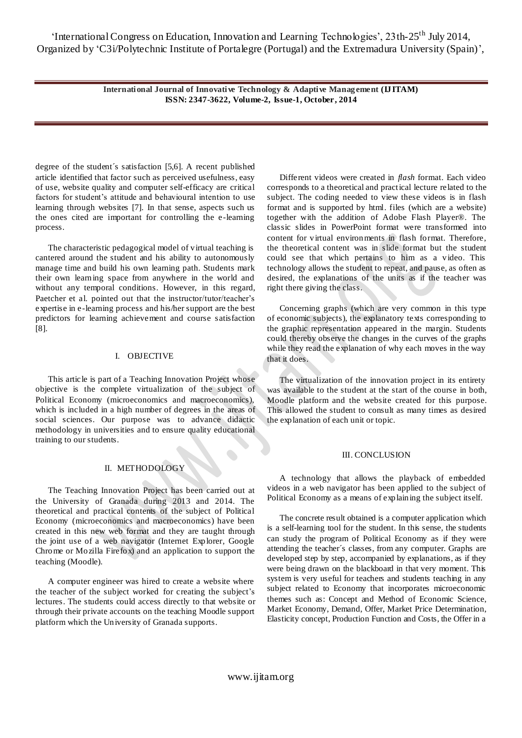**International Journal of Innovative Technology & Adaptive Management (IJITAM) ISSN: 2347-3622, Volume-2, Issue-1, October, 2014**

degree of the student´s satisfaction [5,6]. A recent published article identified that factor such as perceived usefulness, easy of use, website quality and computer self-efficacy are critical factors for student's attitude and behavioural intention to use learning through websites [7]. In that sense, aspects such us the ones cited are important for controlling the e-learning process.

The characteristic pedagogical model of virtual teaching is cantered around the student and his ability to autonomously manage time and build his own learning path. Students mark their own learning space from anywhere in the world and without any temporal conditions. However, in this regard, Paetcher et al. pointed out that the instructor/tutor/teacher's expertise in e-learning process and his/her support are the best predictors for learning achievement and course satisfaction [8].

#### I. OBJECTIVE

This article is part of a Teaching Innovation Project whose objective is the complete virtualization of the subject of Political Economy (microeconomics and macroeconomics), which is included in a high number of degrees in the areas of social sciences. Our purpose was to advance didactic methodology in universities and to ensure quality educational training to our students.

## II. METHODOLOGY

The Teaching Innovation Project has been carried out at the University of Granada during 2013 and 2014. The theoretical and practical contents of the subject of Political Economy (microeconomics and macroeconomics) have been created in this new web format and they are taught through the joint use of a web navigator (Internet Explorer, Google Chrome or Mozilla Firefox) and an application to support the teaching (Moodle).

A computer engineer was hired to create a website where the teacher of the subject worked for creating the subject's lectures. The students could access directly to that website or through their private accounts on the teaching Moodle support platform which the University of Granada supports.

Different videos were created in *flash* format. Each video corresponds to a theoretical and practical lecture related to the subject. The coding needed to view these videos is in flash format and is supported by html. files (which are a website) together with the addition of Adobe Flash Player®. The classic slides in PowerPoint format were transformed into content for virtual environments in flash format. Therefore, the theoretical content was in slide format but the student could see that which pertains to him as a video. This technology allows the student to repeat, and pause, as often as desired, the explanations of the units as if the teacher was right there giving the class.

Concerning graphs (which are very common in this type of economic subjects), the explanatory texts corresponding to the graphic representation appeared in the margin. Students could thereby observe the changes in the curves of the graphs while they read the explanation of why each moves in the way that it does.

The virtualization of the innovation project in its entirety was available to the student at the start of the course in both, Moodle platform and the website created for this purpose. This allowed the student to consult as many times as desired the explanation of each unit or topic.

### III. CONCLUSION

A technology that allows the playback of embedded videos in a web navigator has been applied to the subject of Political Economy as a means of explaining the subject itself.

The concrete result obtained is a computer application which is a self-learning tool for the student. In this sense, the students can study the program of Political Economy as if they were attending the teacher´s classes, from any computer. Graphs are developed step by step, accompanied by explanations, as if they were being drawn on the blackboard in that very moment. This system is very useful for teachers and students teaching in any subject related to Economy that incorporates microeconomic themes such as: Concept and Method of Economic Science, Market Economy, Demand, Offer, Market Price Determination, Elasticity concept, Production Function and Costs, the Offer in a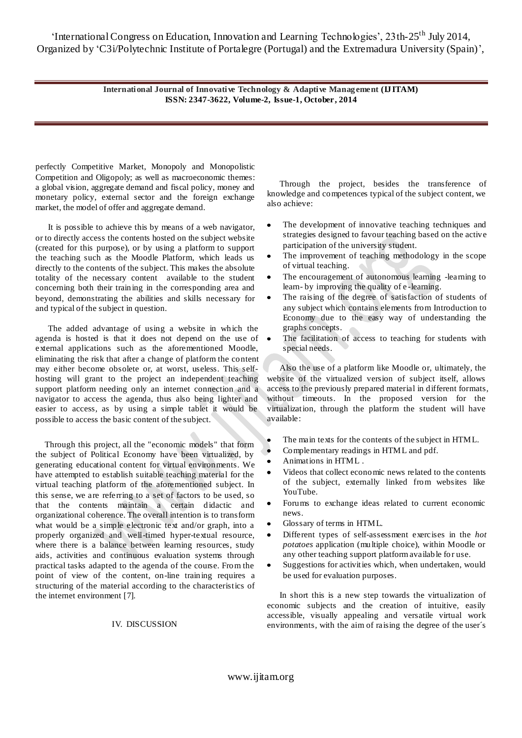'International Congress on Education, Innovation and Learning Technologies', 23th-25<sup>th</sup> July 2014, Organized by ‗C3i/Polytechnic Institute of Portalegre (Portugal) and the Extremadura University (Spain)',

> **International Journal of Innovative Technology & Adaptive Management (IJITAM) ISSN: 2347-3622, Volume-2, Issue-1, October, 2014**

perfectly Competitive Market, Monopoly and Monopolistic Competition and Oligopoly; as well as macroeconomic themes: a global vision, aggregate demand and fiscal policy, money and monetary policy, external sector and the foreign exchange market, the model of offer and aggregate demand.

It is possible to achieve this by means of a web navigator, or to directly access the contents hosted on the subject website (created for this purpose), or by using a platform to support the teaching such as the Moodle Platform, which leads us directly to the contents of the subject. This makes the absolute totality of the necessary content available to the student concerning both their training in the corresponding area and beyond, demonstrating the abilities and skills necessary for and typical of the subject in question.

The added advantage of using a website in which the agenda is hosted is that it does not depend on the use of external applications such as the aforementioned Moodle, eliminating the risk that after a change of platform the content may either become obsolete or, at worst, useless. This selfhosting will grant to the project an independent teaching support platform needing only an internet connection and a navigator to access the agenda, thus also being lighter and easier to access, as by using a simple tablet it would be possible to access the basic content of the subject.

Through this project, all the "economic models" that form the subject of Political Economy have been virtualized, by generating educational content for virtual environments. We have attempted to establish suitable teaching material for the virtual teaching platform of the aforementioned subject. In this sense, we are referring to a set of factors to be used, so that the contents maintain a certain didactic and organizational coherence. The overall intention is to transform what would be a simple electronic text and/or graph, into a properly organized and well-timed hyper-textual resource, where there is a balance between learning resources, study aids, activities and continuous evaluation systems through practical tasks adapted to the agenda of the course. From the point of view of the content, on-line training requires a structuring of the material according to the characteristics of the internet environment [7].

#### IV. DISCUSSION

Through the project, besides the transference of knowledge and competences typical of the subject content, we also achieve:

- The development of innovative teaching techniques and  $\bullet$ strategies designed to favour teaching based on the active participation of the university student.
- The improvement of teaching methodology in the scope of virtual teaching.
- The encouragement of autonomous learning -learning to learn- by improving the quality of e -learning.
- The raising of the degree of satisfaction of students of any subject which contains elements from Introduction to Economy due to the easy way of understanding the graphs concepts.
- The facilitation of access to teaching for students with special needs.

Also the use of a platform like Moodle or, ultimately, the website of the virtualized version of subject itself, allows access to the previously prepared material in different formats, without timeouts. In the proposed version for the virtualization, through the platform the student will have available:

- The main texts for the contents of the subject in HTML.
- Complementary readings in HTML and pdf.
- Animations in HTML .
- Videos that collect economic news related to the contents of the subject, externally linked from websites like YouTube.
- Forums to exchange ideas related to current economic news.
- Glossary of terms in HTML.
- Different types of self-assessment exercises in the *hot*   $\bullet$ *potatoes* application (multiple choice), within Moodle or any other teaching support platform available for use.
- Suggestions for activities which, when undertaken, would  $\bullet$ be used for evaluation purposes.

In short this is a new step towards the virtualization of economic subjects and the creation of intuitive, easily accessible, visually appealing and versatile virtual work environments, with the aim of raising the degree of the user´s